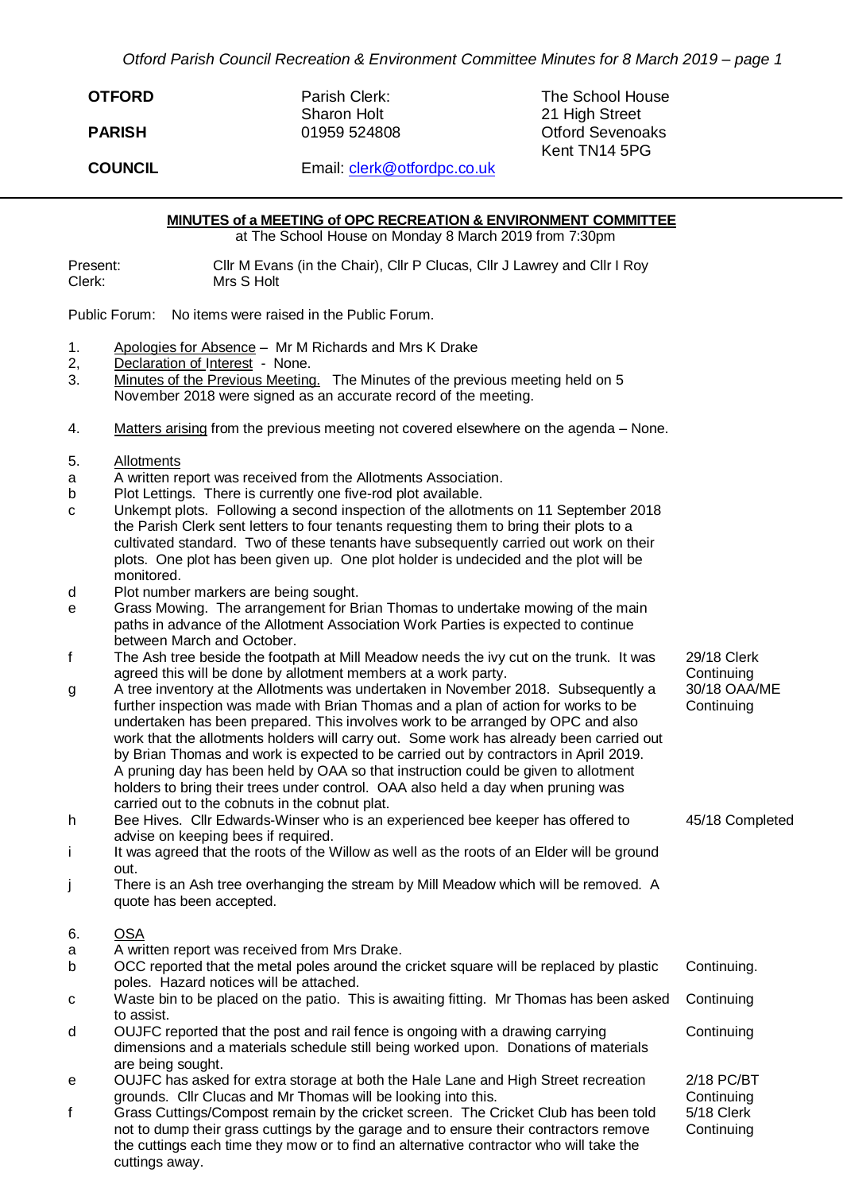*Otford Parish Council Recreation & Environment Committee Minutes for 8 March 2019 – page 1*

| <b>OTFORD</b>  | Parish Clerk:<br><b>Sharon Holt</b> | The School House<br>21 High Street       |
|----------------|-------------------------------------|------------------------------------------|
| <b>PARISH</b>  | 01959 524808                        | <b>Otford Sevenoaks</b><br>Kent TN14 5PG |
| <b>COUNCIL</b> | Email: clerk@otfordpc.co.uk         |                                          |

**MINUTES of a MEETING of OPC RECREATION & ENVIRONMENT COMMITTEE**

at The School House on Monday 8 March 2019 from 7:30pm

Present: Cllr M Evans (in the Chair), Cllr P Clucas, Cllr J Lawrey and Cllr I Roy Clerk: Mrs S Holt

Public Forum: No items were raised in the Public Forum.

- 1. Apologies for Absence Mr M Richards and Mrs K Drake
- 2, Declaration of Interest None.<br>3. Minutes of the Previous Meeting
- Minutes of the Previous Meeting. The Minutes of the previous meeting held on 5 November 2018 were signed as an accurate record of the meeting.
- 4. Matters arising from the previous meeting not covered elsewhere on the agenda None.
- 5. Allotments
- a A written report was received from the Allotments Association.
- b Plot Lettings. There is currently one five-rod plot available.
- c Unkempt plots. Following a second inspection of the allotments on 11 September 2018 the Parish Clerk sent letters to four tenants requesting them to bring their plots to a cultivated standard. Two of these tenants have subsequently carried out work on their plots. One plot has been given up. One plot holder is undecided and the plot will be monitored.
- d Plot number markers are being sought.
- e Grass Mowing. The arrangement for Brian Thomas to undertake mowing of the main paths in advance of the Allotment Association Work Parties is expected to continue between March and October.
- f The Ash tree beside the footpath at Mill Meadow needs the ivy cut on the trunk. It was agreed this will be done by allotment members at a work party.
- g A tree inventory at the Allotments was undertaken in November 2018. Subsequently a further inspection was made with Brian Thomas and a plan of action for works to be undertaken has been prepared. This involves work to be arranged by OPC and also work that the allotments holders will carry out. Some work has already been carried out by Brian Thomas and work is expected to be carried out by contractors in April 2019. A pruning day has been held by OAA so that instruction could be given to allotment holders to bring their trees under control. OAA also held a day when pruning was carried out to the cobnuts in the cobnut plat.
- h Bee Hives. Cllr Edwards-Winser who is an experienced bee keeper has offered to advise on keeping bees if required.
- i It was agreed that the roots of the Willow as well as the roots of an Elder will be ground out.
- j There is an Ash tree overhanging the stream by Mill Meadow which will be removed. A quote has been accepted.
- 6. OSA
- a A written report was received from Mrs Drake.

|    | OCC reported that the metal poles around the cricket square will be replaced by plastic            | Continuina. |
|----|----------------------------------------------------------------------------------------------------|-------------|
|    | poles. Hazard notices will be attached.                                                            |             |
| C. | Waste bin to be placed on the patio. This is awaiting fitting. Mr Thomas has been asked Continuing |             |
|    | to assist.                                                                                         |             |
|    | OUJFC reported that the post and rail fence is ongoing with a drawing carrying                     | Continuing  |

- dimensions and a materials schedule still being worked upon. Donations of materials are being sought.
- e OUJFC has asked for extra storage at both the Hale Lane and High Street recreation grounds. Cllr Clucas and Mr Thomas will be looking into this.
- f Grass Cuttings/Compost remain by the cricket screen. The Cricket Club has been told not to dump their grass cuttings by the garage and to ensure their contractors remove the cuttings each time they mow or to find an alternative contractor who will take the cuttings away. 5/18 Clerk **Continuing**
- 29/18 Clerk **Continuing** 30/18 OAA/ME **Continuing**
- 45/18 Completed

2/18 PC/BT **Continuing**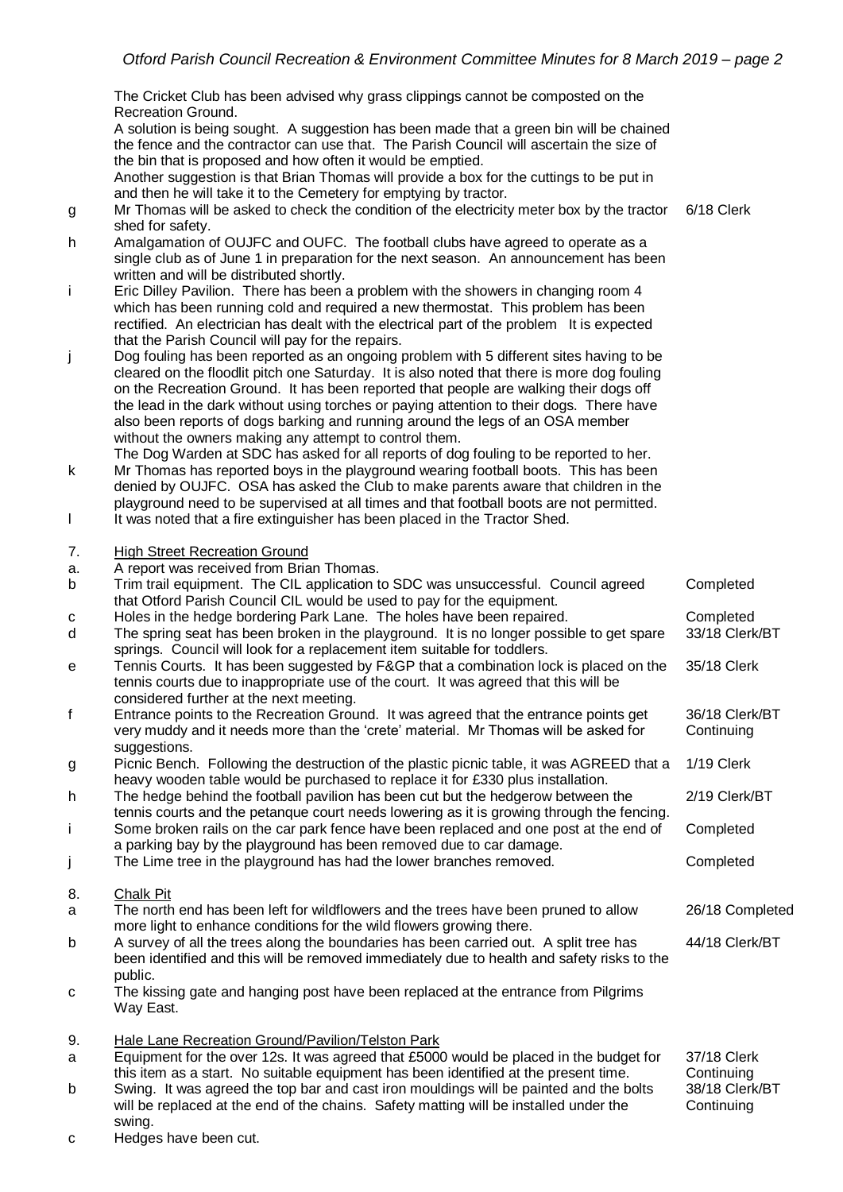The Cricket Club has been advised why grass clippings cannot be composted on the Recreation Ground.

A solution is being sought. A suggestion has been made that a green bin will be chained the fence and the contractor can use that. The Parish Council will ascertain the size of the bin that is proposed and how often it would be emptied.

Another suggestion is that Brian Thomas will provide a box for the cuttings to be put in and then he will take it to the Cemetery for emptying by tractor.

- g Mr Thomas will be asked to check the condition of the electricity meter box by the tractor shed for safety. 6/18 Clerk
- h Amalgamation of OUJFC and OUFC. The football clubs have agreed to operate as a single club as of June 1 in preparation for the next season. An announcement has been written and will be distributed shortly.
- i Eric Dilley Pavilion. There has been a problem with the showers in changing room 4 which has been running cold and required a new thermostat. This problem has been rectified. An electrician has dealt with the electrical part of the problem It is expected that the Parish Council will pay for the repairs.
- j Dog fouling has been reported as an ongoing problem with 5 different sites having to be cleared on the floodlit pitch one Saturday. It is also noted that there is more dog fouling on the Recreation Ground. It has been reported that people are walking their dogs off the lead in the dark without using torches or paying attention to their dogs. There have also been reports of dogs barking and running around the legs of an OSA member without the owners making any attempt to control them.

The Dog Warden at SDC has asked for all reports of dog fouling to be reported to her.

- k Mr Thomas has reported boys in the playground wearing football boots. This has been denied by OUJFC. OSA has asked the Club to make parents aware that children in the playground need to be supervised at all times and that football boots are not permitted.
- l It was noted that a fire extinguisher has been placed in the Tractor Shed.
- 7. High Street Recreation Ground
- a. A report was received from Brian Thomas.

| $\mathsf b$  | Trim trail equipment. The CIL application to SDC was unsuccessful. Council agreed<br>that Otford Parish Council CIL would be used to pay for the equipment.                                                                            | Completed                    |
|--------------|----------------------------------------------------------------------------------------------------------------------------------------------------------------------------------------------------------------------------------------|------------------------------|
| c            | Holes in the hedge bordering Park Lane. The holes have been repaired.                                                                                                                                                                  | Completed                    |
| d            | The spring seat has been broken in the playground. It is no longer possible to get spare<br>springs. Council will look for a replacement item suitable for toddlers.                                                                   | 33/18 Clerk/BT               |
| e            | Tennis Courts. It has been suggested by F&GP that a combination lock is placed on the<br>tennis courts due to inappropriate use of the court. It was agreed that this will be                                                          | 35/18 Clerk                  |
| $\mathsf{f}$ | considered further at the next meeting.<br>Entrance points to the Recreation Ground. It was agreed that the entrance points get<br>very muddy and it needs more than the 'crete' material. Mr Thomas will be asked for<br>suggestions. | 36/18 Clerk/BT<br>Continuing |
| g            | Picnic Bench. Following the destruction of the plastic picnic table, it was AGREED that a<br>heavy wooden table would be purchased to replace it for £330 plus installation.                                                           | 1/19 Clerk                   |
| h            | The hedge behind the football pavilion has been cut but the hedgerow between the<br>tennis courts and the petangue court needs lowering as it is growing through the fencing.                                                          | 2/19 Clerk/BT                |
| j.           | Some broken rails on the car park fence have been replaced and one post at the end of<br>a parking bay by the playground has been removed due to car damage.                                                                           | Completed                    |
| j            | The Lime tree in the playground has had the lower branches removed.                                                                                                                                                                    | Completed                    |
| 8.           | <b>Chalk Pit</b>                                                                                                                                                                                                                       |                              |
| a            | The north end has been left for wildflowers and the trees have been pruned to allow<br>more light to enhance conditions for the wild flowers growing there.                                                                            | 26/18 Completed              |
| b            | A survey of all the trees along the boundaries has been carried out. A split tree has<br>been identified and this will be removed immediately due to health and safety risks to the<br>public.                                         | 44/18 Clerk/BT               |
| C            | The kissing gate and hanging post have been replaced at the entrance from Pilgrims<br>Way East.                                                                                                                                        |                              |
| 9.           | Hale Lane Recreation Ground/Pavilion/Telston Park                                                                                                                                                                                      |                              |
| a            | Equipment for the over 12s. It was agreed that £5000 would be placed in the budget for<br>this item as a start. No suitable equipment has been identified at the present time.                                                         | 37/18 Clerk<br>Continuing    |
| b            | Swing. It was agreed the top bar and cast iron mouldings will be painted and the bolts<br>will be replaced at the end of the chains. Safety matting will be installed under the                                                        | 38/18 Clerk/BT<br>Continuing |

c Hedges have been cut.

swing.